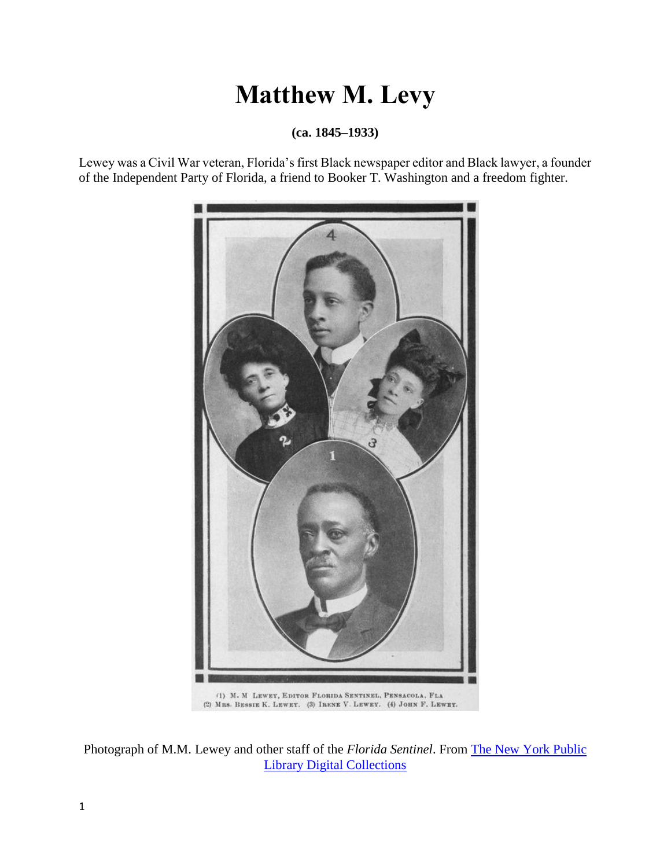# **Matthew M. Levy**

**(ca. 1845–1933)**

Lewey was a Civil War veteran, Florida's first Black newspaper editor and Black lawyer, a founder of the Independent Party of Florida, a friend to Booker T. Washington and a freedom fighter.



Photograph of M.M. Lewey and other staff of the *Florida Sentinel*. From [The New York Public](https://digitalcollections.nypl.org/items/510d47dd-f3d9-a3d9-e040-e00a18064a99)  [Library Digital Collections](https://digitalcollections.nypl.org/items/510d47dd-f3d9-a3d9-e040-e00a18064a99)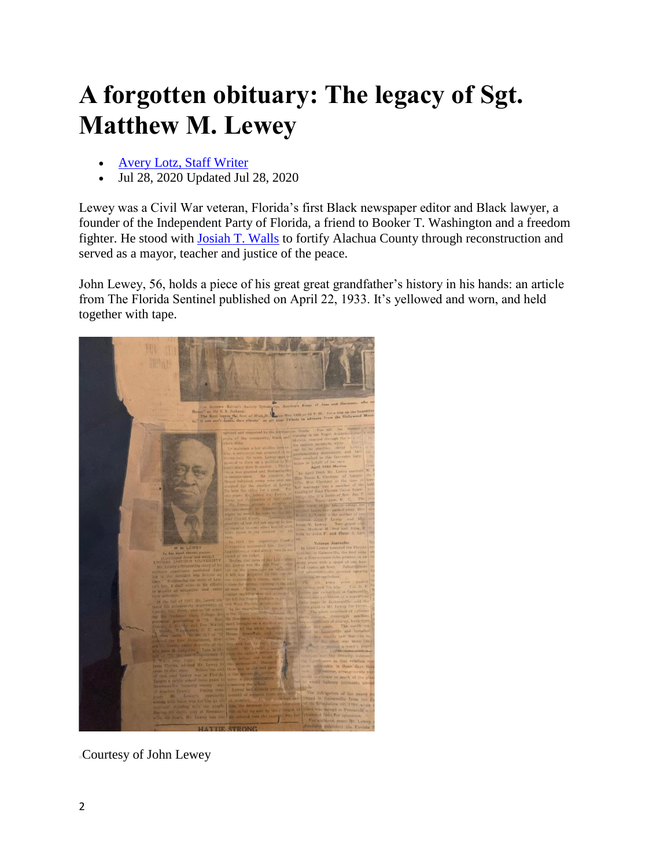# **A forgotten obituary: The legacy of Sgt. Matthew M. Lewey**

- [Avery Lotz, Staff Writer](https://www.alligator.org/users/profile/Avery%20Lotz)
- Jul 28, 2020 Updated Jul 28, 2020

Lewey was a Civil War veteran, Florida's first Black newspaper editor and Black lawyer, a founder of the Independent Party of Florida, a friend to Booker T. Washington and a freedom fighter. He stood with [Josiah T. Walls](https://www.alligator.org/news/a-forgotten-obituary-the-life-of-josiah-t-walls/article_42dec7ba-6633-11e9-92bf-eb894d55b5f2.html) to fortify Alachua County through reconstruction and served as a mayor, teacher and justice of the peace.

John Lewey, 56, holds a piece of his great great grandfather's history in his hands: an article from The Florida Sentinel published on April 22, 1933. It's yellowed and worn, and held together with tape.



Courtesy of John Lewey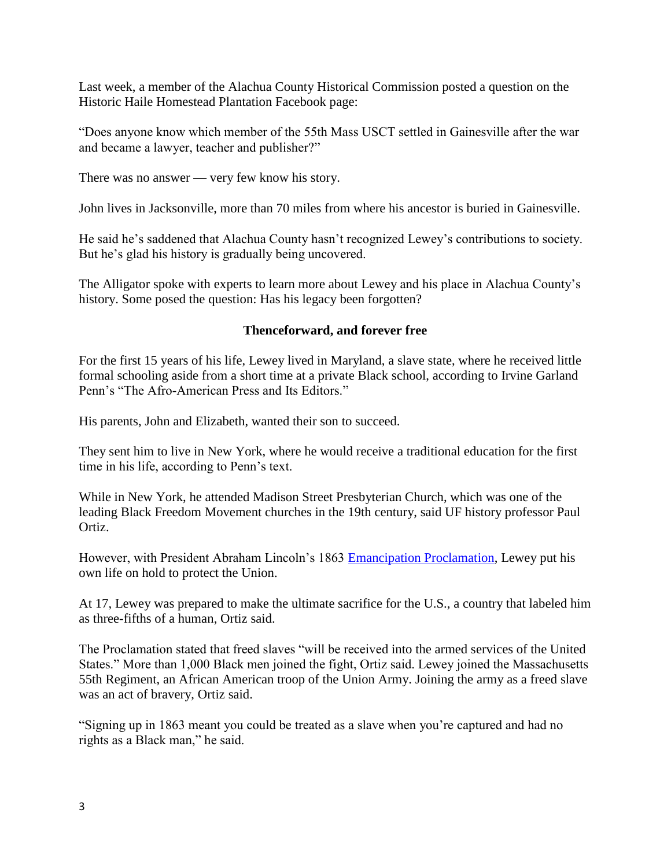Last week, a member of the Alachua County Historical Commission posted a question on the Historic Haile Homestead Plantation Facebook page:

"Does anyone know which member of the 55th Mass USCT settled in Gainesville after the war and became a lawyer, teacher and publisher?"

There was no answer — very few know his story.

John lives in Jacksonville, more than 70 miles from where his ancestor is buried in Gainesville.

He said he's saddened that Alachua County hasn't recognized Lewey's contributions to society. But he's glad his history is gradually being uncovered.

The Alligator spoke with experts to learn more about Lewey and his place in Alachua County's history. Some posed the question: Has his legacy been forgotten?

#### **Thenceforward, and forever free**

For the first 15 years of his life, Lewey lived in Maryland, a slave state, where he received little formal schooling aside from a short time at a private Black school, according to Irvine Garland Penn's "The Afro-American Press and Its Editors."

His parents, John and Elizabeth, wanted their son to succeed.

They sent him to live in New York, where he would receive a traditional education for the first time in his life, according to Penn's text.

While in New York, he attended Madison Street Presbyterian Church, which was one of the leading Black Freedom Movement churches in the 19th century, said UF history professor Paul Ortiz.

However, with President Abraham Lincoln's 1863 [Emancipation Proclamation,](https://www.archives.gov/exhibits/featured-documents/emancipation-proclamation/transcript.html) Lewey put his own life on hold to protect the Union.

At 17, Lewey was prepared to make the ultimate sacrifice for the U.S., a country that labeled him as three-fifths of a human, Ortiz said.

The Proclamation stated that freed slaves "will be received into the armed services of the United States." More than 1,000 Black men joined the fight, Ortiz said. Lewey joined the Massachusetts 55th Regiment, an African American troop of the Union Army. Joining the army as a freed slave was an act of bravery, Ortiz said.

"Signing up in 1863 meant you could be treated as a slave when you're captured and had no rights as a Black man," he said.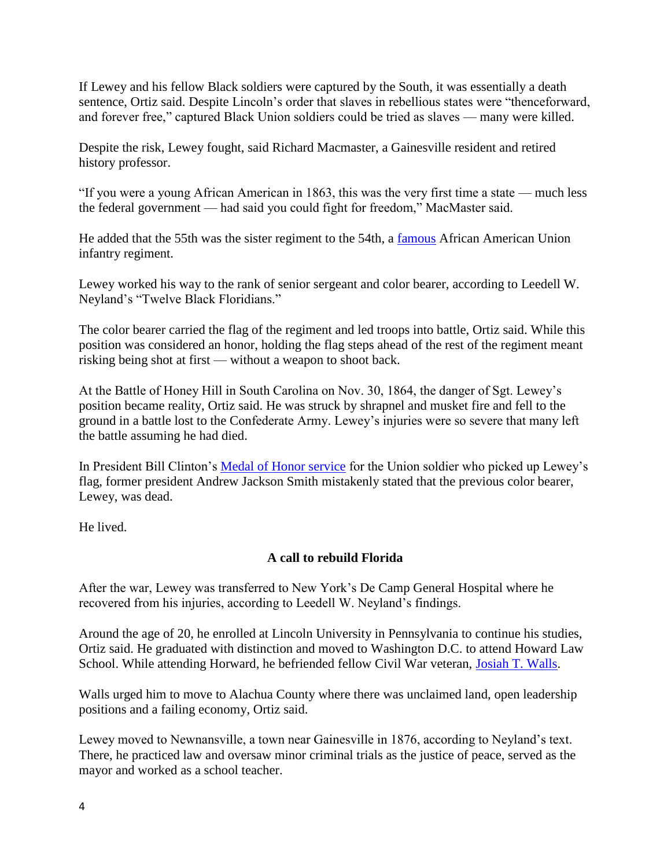If Lewey and his fellow Black soldiers were captured by the South, it was essentially a death sentence, Ortiz said. Despite Lincoln's order that slaves in rebellious states were "thenceforward, and forever free," captured Black Union soldiers could be tried as slaves — many were killed.

Despite the risk, Lewey fought, said Richard Macmaster, a Gainesville resident and retired history professor.

"If you were a young African American in 1863, this was the very first time a state — much less the federal government — had said you could fight for freedom," MacMaster said.

He added that the 55th was the sister regiment to the 54th, a [famous](https://www.history.com/topics/american-civil-war/the-54th-massachusetts-infantry) African American Union infantry regiment.

Lewey worked his way to the rank of senior sergeant and color bearer, according to Leedell W. Neyland's "Twelve Black Floridians."

The color bearer carried the flag of the regiment and led troops into battle, Ortiz said. While this position was considered an honor, holding the flag steps ahead of the rest of the regiment meant risking being shot at first — without a weapon to shoot back.

At the Battle of Honey Hill in South Carolina on Nov. 30, 1864, the danger of Sgt. Lewey's position became reality, Ortiz said. He was struck by shrapnel and musket fire and fell to the ground in a battle lost to the Confederate Army. Lewey's injuries were so severe that many left the battle assuming he had died.

In President Bill Clinton's [Medal of Honor service](https://www.c-span.org/video/?c4887835/user-clip-medal-honor-ceremony-andrew-jackson-smith) for the Union soldier who picked up Lewey's flag, former president Andrew Jackson Smith mistakenly stated that the previous color bearer, Lewey, was dead.

He lived.

# **A call to rebuild Florida**

After the war, Lewey was transferred to New York's De Camp General Hospital where he recovered from his injuries, according to Leedell W. Neyland's findings.

Around the age of 20, he enrolled at Lincoln University in Pennsylvania to continue his studies, Ortiz said. He graduated with distinction and moved to Washington D.C. to attend Howard Law School. While attending Horward, he befriended fellow Civil War veteran, [Josiah T. Walls.](https://www.alligator.org/news/a-forgotten-obituary-the-life-of-josiah-t-walls/article_42dec7ba-6633-11e9-92bf-eb894d55b5f2.html)

Walls urged him to move to Alachua County where there was unclaimed land, open leadership positions and a failing economy, Ortiz said.

Lewey moved to Newnansville, a town near Gainesville in 1876, according to Neyland's text. There, he practiced law and oversaw minor criminal trials as the justice of peace, served as the mayor and worked as a school teacher.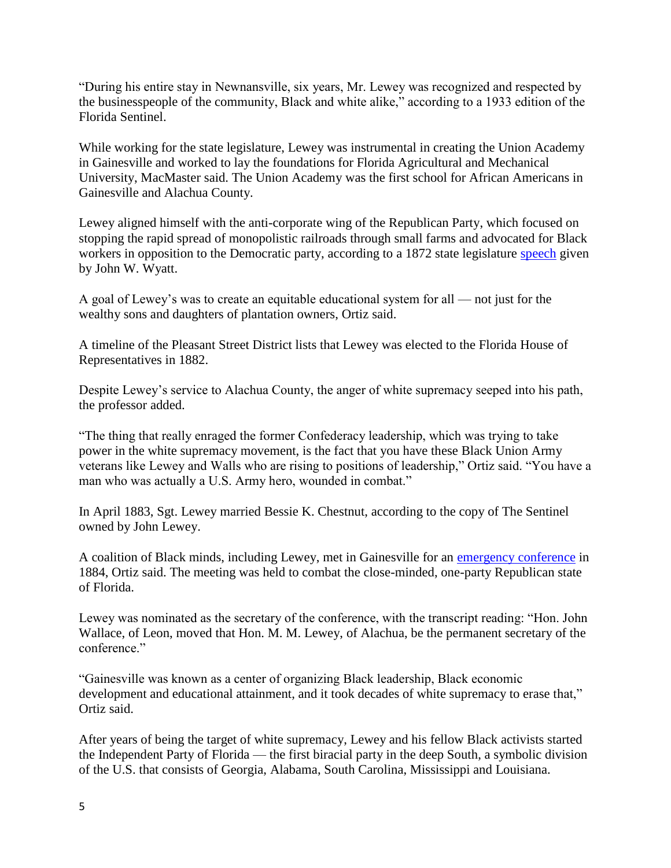"During his entire stay in Newnansville, six years, Mr. Lewey was recognized and respected by the businesspeople of the community, Black and white alike," according to a 1933 edition of the Florida Sentinel.

While working for the state legislature, Lewey was instrumental in creating the Union Academy in Gainesville and worked to lay the foundations for Florida Agricultural and Mechanical University, MacMaster said. The Union Academy was the first school for African Americans in Gainesville and Alachua County.

Lewey aligned himself with the anti-corporate wing of the Republican Party, which focused on stopping the rapid spread of monopolistic railroads through small farms and advocated for Black workers in opposition to the Democratic party, according to a 1872 state legislature [speech](https://www.marxists.org/history/etol/newspape/atc/2035.html) given by John W. Wyatt.

A goal of Lewey's was to create an equitable educational system for all — not just for the wealthy sons and daughters of plantation owners, Ortiz said.

A timeline of the Pleasant Street District lists that Lewey was elected to the Florida House of Representatives in 1882.

Despite Lewey's service to Alachua County, the anger of white supremacy seeped into his path, the professor added.

"The thing that really enraged the former Confederacy leadership, which was trying to take power in the white supremacy movement, is the fact that you have these Black Union Army veterans like Lewey and Walls who are rising to positions of leadership," Ortiz said. "You have a man who was actually a U.S. Army hero, wounded in combat."

In April 1883, Sgt. Lewey married Bessie K. Chestnut, according to the copy of The Sentinel owned by John Lewey.

A coalition of Black minds, including Lewey, met in Gainesville for an [emergency conference](https://omeka.coloredconventions.org/items/show/1099) in 1884, Ortiz said. The meeting was held to combat the close-minded, one-party Republican state of Florida.

Lewey was nominated as the secretary of the conference, with the transcript reading: "Hon. John Wallace, of Leon, moved that Hon. M. M. Lewey, of Alachua, be the permanent secretary of the conference."

"Gainesville was known as a center of organizing Black leadership, Black economic development and educational attainment, and it took decades of white supremacy to erase that," Ortiz said.

After years of being the target of white supremacy, Lewey and his fellow Black activists started the Independent Party of Florida — the first biracial party in the deep South, a symbolic division of the U.S. that consists of Georgia, Alabama, South Carolina, Mississippi and Louisiana.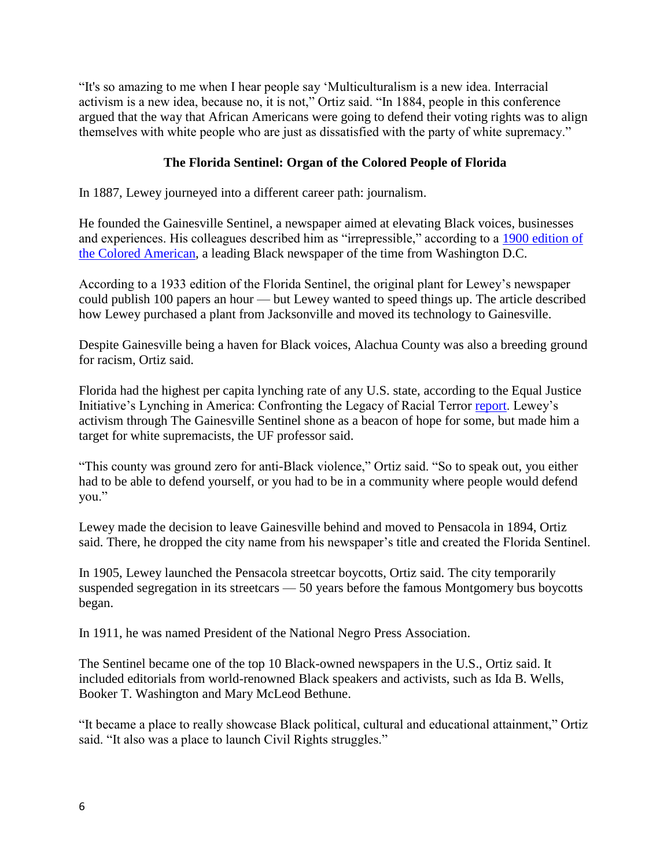"It's so amazing to me when I hear people say 'Multiculturalism is a new idea. Interracial activism is a new idea, because no, it is not," Ortiz said. "In 1884, people in this conference argued that the way that African Americans were going to defend their voting rights was to align themselves with white people who are just as dissatisfied with the party of white supremacy."

## **The Florida Sentinel: Organ of the Colored People of Florida**

In 1887, Lewey journeyed into a different career path: journalism.

He founded the Gainesville Sentinel, a newspaper aimed at elevating Black voices, businesses and experiences. His colleagues described him as "irrepressible," according to a [1900 edition of](https://chroniclingamerica.loc.gov/lccn/sn83027091/1900-11-17/ed-1/seq-10/#date1=1789&index=0&date2=1900&searchType=advanced&language=&sequence=0&lccn=sn83027091&words=Lewey+M+m+Matthew&proxdistance=5&state=&rows=20&ortext=Matthew+M+Lewey%2C+Pensacoloa&proxtext=&phrasetext=&andtext=&dateFilterType=yearRange&page=1)  [the Colored American,](https://chroniclingamerica.loc.gov/lccn/sn83027091/1900-11-17/ed-1/seq-10/#date1=1789&index=0&date2=1900&searchType=advanced&language=&sequence=0&lccn=sn83027091&words=Lewey+M+m+Matthew&proxdistance=5&state=&rows=20&ortext=Matthew+M+Lewey%2C+Pensacoloa&proxtext=&phrasetext=&andtext=&dateFilterType=yearRange&page=1) a leading Black newspaper of the time from Washington D.C.

According to a 1933 edition of the Florida Sentinel, the original plant for Lewey's newspaper could publish 100 papers an hour — but Lewey wanted to speed things up. The article described how Lewey purchased a plant from Jacksonville and moved its technology to Gainesville.

Despite Gainesville being a haven for Black voices, Alachua County was also a breeding ground for racism, Ortiz said.

Florida had the highest per capita lynching rate of any U.S. state, according to the Equal Justice Initiative's Lynching in America: Confronting the Legacy of Racial Terror [report.](https://eji.org/reports/lynching-in-america/) Lewey's activism through The Gainesville Sentinel shone as a beacon of hope for some, but made him a target for white supremacists, the UF professor said.

"This county was ground zero for anti-Black violence," Ortiz said. "So to speak out, you either had to be able to defend yourself, or you had to be in a community where people would defend you."

Lewey made the decision to leave Gainesville behind and moved to Pensacola in 1894, Ortiz said. There, he dropped the city name from his newspaper's title and created the Florida Sentinel.

In 1905, Lewey launched the Pensacola streetcar boycotts, Ortiz said. The city temporarily suspended segregation in its streetcars — 50 years before the famous Montgomery bus boycotts began.

In 1911, he was named President of the National Negro Press Association.

The Sentinel became one of the top 10 Black-owned newspapers in the U.S., Ortiz said. It included editorials from world-renowned Black speakers and activists, such as Ida B. Wells, Booker T. Washington and Mary McLeod Bethune.

"It became a place to really showcase Black political, cultural and educational attainment," Ortiz said. "It also was a place to launch Civil Rights struggles."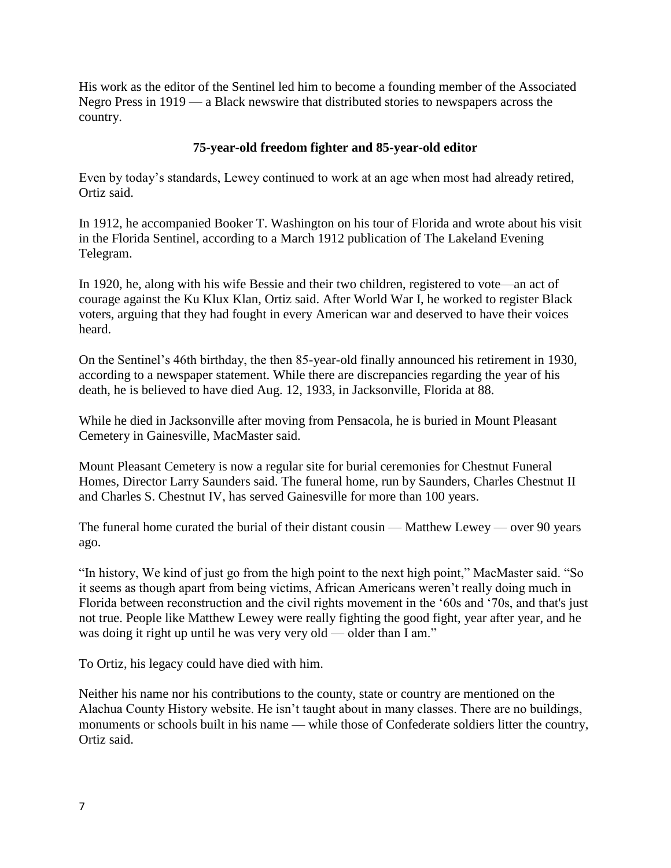His work as the editor of the Sentinel led him to become a founding member of the Associated Negro Press in 1919 — a Black newswire that distributed stories to newspapers across the country.

## **75-year-old freedom fighter and 85-year-old editor**

Even by today's standards, Lewey continued to work at an age when most had already retired, Ortiz said.

In 1912, he accompanied Booker T. Washington on his tour of Florida and wrote about his visit in the Florida Sentinel, according to a March 1912 publication of The Lakeland Evening Telegram.

In 1920, he, along with his wife Bessie and their two children, registered to vote—an act of courage against the Ku Klux Klan, Ortiz said. After World War I, he worked to register Black voters, arguing that they had fought in every American war and deserved to have their voices heard.

On the Sentinel's 46th birthday, the then 85-year-old finally announced his retirement in 1930, according to a newspaper statement. While there are discrepancies regarding the year of his death, he is believed to have died Aug. 12, 1933, in Jacksonville, Florida at 88.

While he died in Jacksonville after moving from Pensacola, he is buried in Mount Pleasant Cemetery in Gainesville, MacMaster said.

Mount Pleasant Cemetery is now a regular site for burial ceremonies for Chestnut Funeral Homes, Director Larry Saunders said. The funeral home, run by Saunders, Charles Chestnut II and Charles S. Chestnut IV, has served Gainesville for more than 100 years.

The funeral home curated the burial of their distant cousin — Matthew Lewey — over 90 years ago.

"In history, We kind of just go from the high point to the next high point," MacMaster said. "So it seems as though apart from being victims, African Americans weren't really doing much in Florida between reconstruction and the civil rights movement in the '60s and '70s, and that's just not true. People like Matthew Lewey were really fighting the good fight, year after year, and he was doing it right up until he was very very old — older than I am."

To Ortiz, his legacy could have died with him.

Neither his name nor his contributions to the county, state or country are mentioned on the Alachua County History website. He isn't taught about in many classes. There are no buildings, monuments or schools built in his name — while those of Confederate soldiers litter the country, Ortiz said.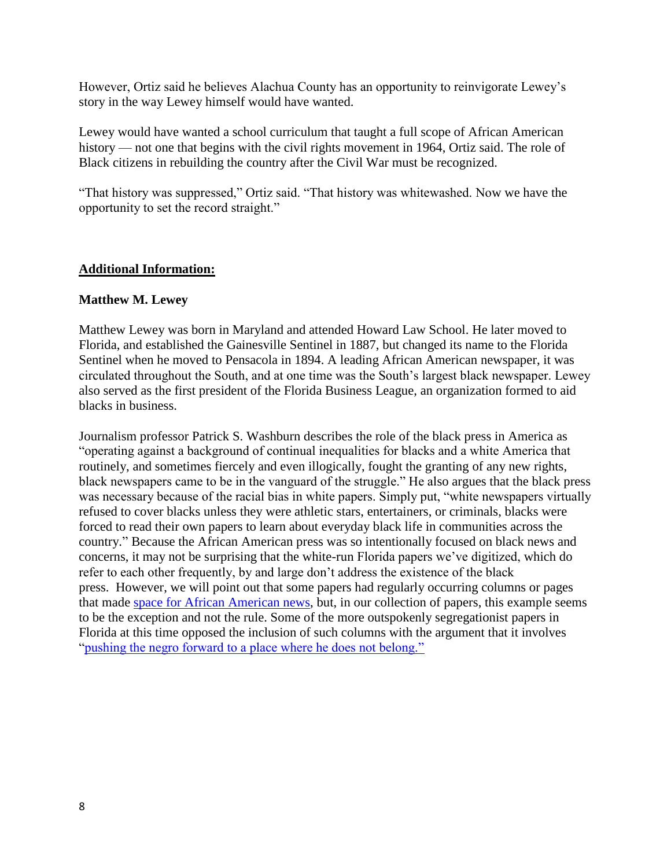However, Ortiz said he believes Alachua County has an opportunity to reinvigorate Lewey's story in the way Lewey himself would have wanted.

Lewey would have wanted a school curriculum that taught a full scope of African American history — not one that begins with the civil rights movement in 1964, Ortiz said. The role of Black citizens in rebuilding the country after the Civil War must be recognized.

"That history was suppressed," Ortiz said. "That history was whitewashed. Now we have the opportunity to set the record straight."

#### **Additional Information:**

#### **Matthew M. Lewey**

Matthew Lewey was born in Maryland and attended Howard Law School. He later moved to Florida, and established the Gainesville Sentinel in 1887, but changed its name to the Florida Sentinel when he moved to Pensacola in 1894. A leading African American newspaper, it was circulated throughout the South, and at one time was the South's largest black newspaper. Lewey also served as the first president of the Florida Business League, an organization formed to aid blacks in business.

Journalism professor Patrick S. Washburn describes the role of the black press in America as "operating against a background of continual inequalities for blacks and a white America that routinely, and sometimes fiercely and even illogically, fought the granting of any new rights, black newspapers came to be in the vanguard of the struggle." He also argues that the black press was necessary because of the racial bias in white papers. Simply put, "white newspapers virtually refused to cover blacks unless they were athletic stars, entertainers, or criminals, blacks were forced to read their own papers to learn about everyday black life in communities across the country." Because the African American press was so intentionally focused on black news and concerns, it may not be surprising that the white-run Florida papers we've digitized, which do refer to each other frequently, by and large don't address the existence of the black press. However, we will point out that some papers had regularly occurring columns or pages that made [space for African American news,](https://ufndnp.wordpress.com/2016/02/08/exploring-african-american-history-in-florida-using-digitized-newspapers/) but, in our collection of papers, this example seems to be the exception and not the rule. Some of the more outspokenly segregationist papers in Florida at this time opposed the inclusion of such columns with the argument that it involves ["pushing the negro forward to a place where he does not belong."](https://chroniclingamerica.loc.gov/lccn/sn95047216/1906-03-24/ed-1/seq-9/)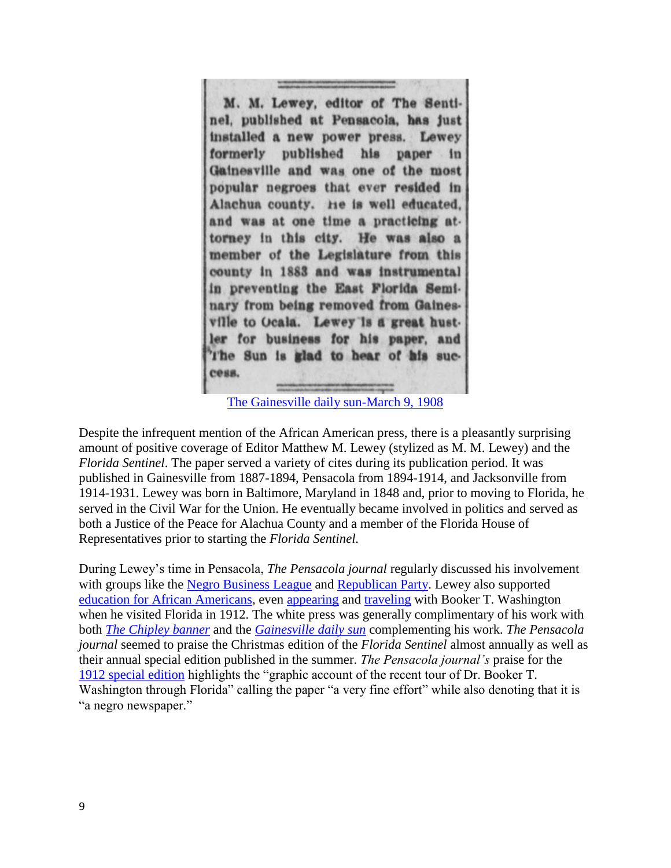M. M. Lewey, editor of The Sentinel, published at Pensacola, has just installed a new power press. Lewey formerly published his paper in Gainesville and was one of the most popular negroes that ever resided in Alachua county. He is well educated. and was at one time a practicing attorney in this city. He was also a member of the Legislature from this county in 1883 and was instrumental in preventing the East Florida Seminary from being removed from Gainesville to Ocala. Lewey is a great hustler for business for his paper, and The Sun is glad to hear of his sucсевв.

[The Gainesville daily sun-March 9, 1908](https://chroniclingamerica.loc.gov/lccn/sn95026977/1908-03-09/ed-1/seq-4/)

Despite the infrequent mention of the African American press, there is a pleasantly surprising amount of positive coverage of Editor Matthew M. Lewey (stylized as M. M. Lewey) and the *Florida Sentinel*. The paper served a variety of cites during its publication period. It was published in Gainesville from 1887-1894, Pensacola from 1894-1914, and Jacksonville from 1914-1931. Lewey was born in Baltimore, Maryland in 1848 and, prior to moving to Florida, he served in the Civil War for the Union. He eventually became involved in politics and served as both a Justice of the Peace for Alachua County and a member of the Florida House of Representatives prior to starting the *Florida Sentinel.* 

During Lewey's time in Pensacola, *The Pensacola journal* regularly discussed his involvement with groups like the [Negro Business League](https://chroniclingamerica.loc.gov/lccn/sn87062268/1910-06-03/ed-1/seq-8/) and [Republican Party.](https://chroniclingamerica.loc.gov/lccn/sn87062268/1912-01-27/ed-1/seq-2/) Lewey also supported [education for African Americans,](https://chroniclingamerica.loc.gov/lccn/sn87062268/1906-08-02/ed-1/seq-8/) even [appearing](https://chroniclingamerica.loc.gov/lccn/sn87062268/1912-03-02/ed-1/seq-7/) and [traveling](https://chroniclingamerica.loc.gov/lccn/sn95047222/1912-03-02/ed-1/seq-5/) with Booker T. Washington when he visited Florida in 1912. The white press was generally complimentary of his work with both *[The Chipley banner](https://chroniclingamerica.loc.gov/lccn/sn95047263/1900-01-06/ed-1/seq-2/)* and the *[Gainesville daily sun](https://chroniclingamerica.loc.gov/lccn/sn95026977/1908-03-09/ed-1/seq-4/)* complementing his work. *The Pensacola journal* seemed to praise the Christmas edition of the *Florida Sentinel* almost annually as well as their annual special edition published in the summer. *The Pensacola journal's* praise for the [1912 special edition](https://chroniclingamerica.loc.gov/lccn/sn87062268/1912-07-14/ed-1/seq-5/) highlights the "graphic account of the recent tour of Dr. Booker T. Washington through Florida" calling the paper "a very fine effort" while also denoting that it is "a negro newspaper."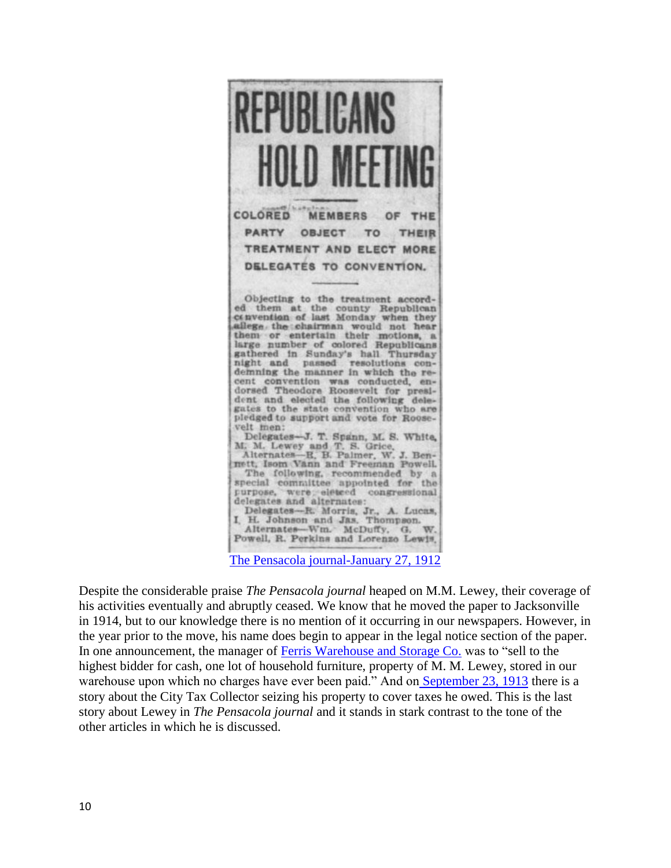

[The Pensacola journal-January 27, 1912](https://chroniclingamerica.loc.gov/lccn/sn87062268/1912-01-27/ed-1/seq-2/)

Despite the considerable praise *The Pensacola journal* heaped on M.M. Lewey, their coverage of his activities eventually and abruptly ceased. We know that he moved the paper to Jacksonville in 1914, but to our knowledge there is no mention of it occurring in our newspapers. However, in the year prior to the move, his name does begin to appear in the legal notice section of the paper. In one announcement, the manager of [Ferris Warehouse and Storage Co.](https://chroniclingamerica.loc.gov/lccn/sn87062268/1913-09-02/ed-1/seq-5/) was to "sell to the highest bidder for cash, one lot of household furniture, property of M. M. Lewey, stored in our warehouse upon which no charges have ever been paid." And on [September 23, 1913](https://chroniclingamerica.loc.gov/lccn/sn87062268/1913-09-23/ed-1/seq-2/) there is a story about the City Tax Collector seizing his property to cover taxes he owed. This is the last story about Lewey in *The Pensacola journal* and it stands in stark contrast to the tone of the other articles in which he is discussed.